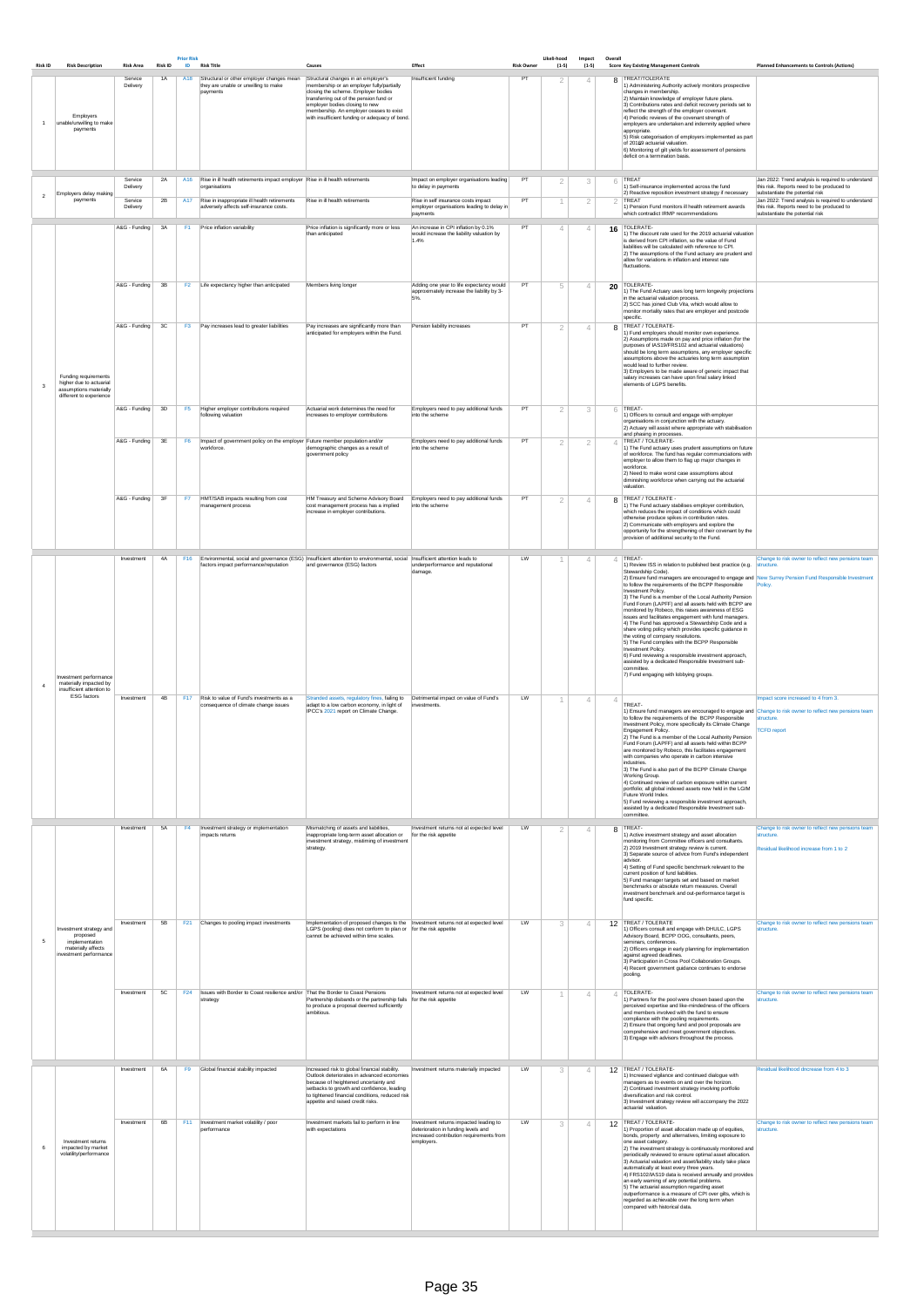| <b>Risk ID</b> | <b>Risk Description</b>                                                                               | <b>Risk Area</b>               | <b>Risk ID</b> | <b>Prior Risk</b><br>ID | <b>Risk Title</b>                                                                                                                                  | Causes                                                                                                                                                                                                                                                                                            | Effect                                                                                                  | <b>Risk Owner</b> | Likeli-hood<br>$(1-5)$ | Impact<br>$(1-5)$ | Overall | <b>Score Key Existing Management Controls</b>                                                                                                                                                                                                                                                                                                                                                                                                                                                                                                                                                                                                                                                                                                                                                                                                                                                                      | <b>Planned Enhancements to Controls (Actions)</b>                                                                                                                                        |
|----------------|-------------------------------------------------------------------------------------------------------|--------------------------------|----------------|-------------------------|----------------------------------------------------------------------------------------------------------------------------------------------------|---------------------------------------------------------------------------------------------------------------------------------------------------------------------------------------------------------------------------------------------------------------------------------------------------|---------------------------------------------------------------------------------------------------------|-------------------|------------------------|-------------------|---------|--------------------------------------------------------------------------------------------------------------------------------------------------------------------------------------------------------------------------------------------------------------------------------------------------------------------------------------------------------------------------------------------------------------------------------------------------------------------------------------------------------------------------------------------------------------------------------------------------------------------------------------------------------------------------------------------------------------------------------------------------------------------------------------------------------------------------------------------------------------------------------------------------------------------|------------------------------------------------------------------------------------------------------------------------------------------------------------------------------------------|
|                | Employers<br>unable/unwilling to make<br>payments                                                     | Service<br>Delivery            | 1A             | A18                     | Structural or other employer changes mean<br>they are unable or unwilling to make<br>payments                                                      | Structural changes in an employer's<br>membership or an employer fully/partially<br>closing the scheme. Employer bodies<br>transferring out of the pension fund or<br>employer bodies closing to new<br>membership. An employer ceases to exist<br>with insufficient funding or adequacy of bond. | Insufficient funding                                                                                    | PT                | 2                      | $\overline{4}$    |         | 8 TREAT/TOLERATE<br>1) Administering Authority actively monitors prospective<br>changes in membership.<br>2) Maintain knowledge of employer future plans.<br>3) Contributions rates and deficit recovery periods set to<br>reflect the strength of the employer covenant.<br>4) Periodic reviews of the covenant strength of<br>employers are undertaken and indemnity applied where<br>appropriate.<br>5) Risk categorisation of employers implemented as part<br>of 20169 actuarial valuation.<br>6) Monitoring of gilt yields for assessment of pensions<br>deficit on a termination basis.                                                                                                                                                                                                                                                                                                                     |                                                                                                                                                                                          |
| $\mathfrak{p}$ | Employers delay making<br>payments                                                                    | Service<br>Delivery<br>Service | 2A<br>2B       | A16                     | Rise in ill health retirements impact employer Rise in ill health retirements<br>organisations<br>A17 Rise in inappropriate ill health retirements | Rise in ill health retirements                                                                                                                                                                                                                                                                    | Impact on employer organisations leading<br>to delay in payments<br>Rise in self insurance costs impact | PT<br>PT          | 2<br>1                 | 3<br>2            | 6       | TREAT<br>1) Self-insurance implemented across the fund<br>2) Reactive reposition investment strategy if necessary<br><b>TREAT</b>                                                                                                                                                                                                                                                                                                                                                                                                                                                                                                                                                                                                                                                                                                                                                                                  | Jan 2022: Trend analysis is required to understand<br>this risk. Reports need to be produced to<br>substantiate the potential risk<br>Jan 2022: Trend analysis is required to understand |
|                |                                                                                                       | Delivery                       |                |                         | adversely affects self-insurance costs.                                                                                                            |                                                                                                                                                                                                                                                                                                   | employer organisations leading to delay in<br>payments                                                  |                   |                        |                   |         | 1) Pension Fund monitors ill health retirement awards<br>which contradict IRMP recommendations                                                                                                                                                                                                                                                                                                                                                                                                                                                                                                                                                                                                                                                                                                                                                                                                                     | this risk. Reports need to be produced to<br>substantiate the potential risk                                                                                                             |
|                |                                                                                                       | A&G - Funding                  | 3A             | F <sub>1</sub>          | Price inflation variability                                                                                                                        | Price inflation is significantly more or less<br>than anticipated                                                                                                                                                                                                                                 | An increase in CPI inflation by 0.1%<br>would increase the liability valuation by<br>1.4%               | PT                | 4                      | $\overline{4}$    |         | 16 TOLERATE-<br>1) The discount rate used for the 2019 actuarial valuation<br>is derived from CPI inflation, so the value of Fund<br>liabilities will be calculated with reference to CPI.<br>2) The assumptions of the Fund actuary are prudent and<br>allow for variations in inflation and interest rate<br>fluctuations.                                                                                                                                                                                                                                                                                                                                                                                                                                                                                                                                                                                       |                                                                                                                                                                                          |
|                |                                                                                                       | A&G - Funding                  | 3B             |                         | F2   Life expectancy higher than anticipated                                                                                                       | Members living longer                                                                                                                                                                                                                                                                             | Adding one year to life expectancy would<br>approximately increase the liability by 3-<br>5%.           | PT                | 5                      | $\overline{4}$    |         | 20 TOLERATE-<br>1) The Fund Actuary uses long term longevity projections<br>in the actuarial valuation process.<br>2) SCC has joined Club Vita, which would allow to<br>monitor mortality rates that are employer and postcode<br>specific.                                                                                                                                                                                                                                                                                                                                                                                                                                                                                                                                                                                                                                                                        |                                                                                                                                                                                          |
| 3              | Funding requirements<br>higher due to actuarial<br>assumptions materially<br>different to experience  | A&G - Funding                  | 3C             | F <sub>3</sub>          | Pay increases lead to greater liabilities                                                                                                          | Pay increases are significantly more than<br>anticipated for employers within the Fund.                                                                                                                                                                                                           | Pension liability increases                                                                             | PT                | 2                      | $\overline{4}$    |         | 8 TREAT / TOLERATE-<br>1) Fund employers should monitor own experience.<br>2) Assumptions made on pay and price inflation (for the<br>purposes of IAS19/FRS102 and actuarial valuations)<br>should be long term assumptions, any employer specific<br>assumptions above the actuaries long term assumption<br>would lead to further review.<br>3) Employers to be made aware of generic impact that<br>salary increases can have upon final salary linked<br>elements of LGPS benefits.                                                                                                                                                                                                                                                                                                                                                                                                                            |                                                                                                                                                                                          |
|                |                                                                                                       | A&G - Funding                  | 3D             | F <sub>5</sub>          | Higher employer contributions required<br>following valuation                                                                                      | Actuarial work determines the need for<br>increases to employer contributions                                                                                                                                                                                                                     | Employers need to pay additional funds<br>into the scheme                                               | PT                | 2                      | 3                 |         | $6$ TREAT-<br>1) Officers to consult and engage with employer<br>organisations in conjunction with the actuary.<br>2) Actuary will assist where appropriate with stabilisation<br>and phasing in processes.                                                                                                                                                                                                                                                                                                                                                                                                                                                                                                                                                                                                                                                                                                        |                                                                                                                                                                                          |
|                |                                                                                                       | A&G - Funding                  | 3E             | F <sub>6</sub>          | Impact of government policy on the employer Future member population and/or<br>workforce.                                                          | demographic changes as a result of<br>government policy                                                                                                                                                                                                                                           | Employers need to pay additional funds<br>into the scheme                                               | PT                | $\mathcal{P}$          | $\overline{2}$    | ⊿       | TREAT / TOLERATE-<br>1) The Fund actuary uses prudent assumptions on future<br>of workforce. The fund has regular communciations with<br>employer to allow them to flag up major changes in<br>workforce.<br>2) Need to make worst case assumptions about<br>diminishing workforce when carrying out the actuarial<br>valuation.                                                                                                                                                                                                                                                                                                                                                                                                                                                                                                                                                                                   |                                                                                                                                                                                          |
|                |                                                                                                       | A&G - Funding                  | 3F             | F7                      | HMT/SAB impacts resulting from cost<br>management process                                                                                          | HM Treasury and Scheme Advisory Board<br>cost management process has a implied<br>increase in employer contributions.                                                                                                                                                                             | Employers need to pay additional funds<br>into the scheme                                               | PT                | 2                      | $\overline{4}$    |         | 8 TREAT / TOLERATE -<br>1) The Fund actuary stabilises employer contribution,<br>which reduces the impact of conditions which could<br>otherwise produce spikes in contribution rates.<br>2) Communicate with employers and explore the<br>opportunity for the strengthening of their covenant by the<br>provision of additional security to the Fund.                                                                                                                                                                                                                                                                                                                                                                                                                                                                                                                                                             |                                                                                                                                                                                          |
|                | Investment performance<br>materially impacted by                                                      | Investment                     | 4A             | F <sub>16</sub>         | factors impact performance/reputation                                                                                                              | Environmental, social and governance (ESG) Insufficient attention to environmental, social Insufficient attention leads to<br>and governance (ESG) factors                                                                                                                                        | underperformance and reputational<br>damage.                                                            | LW                |                        |                   |         | TREAT-<br>1) Review ISS in relation to published best practice (e.g.<br>Stewardship Code).<br>2) Ensure fund managers are encouraged to engage and New Surrey Pension Fund Responsible Investment<br>to follow the requirements of the BCPP Responsible<br>Investment Policy.<br>3) The Fund is a member of the Local Authority Pension<br>Fund Forum (LAPFF) and all assets held with BCPP are<br>monitored by Robeco, this raises awareness of ESG<br>issues and facilitates engagement with fund managers.<br>4) The Fund has approved a Stewardship Code and a<br>share voting policy which provides specific guidance in<br>the voting of company resolutions.<br>5) The Fund complies with the BCPP Responsible<br>Investment Policy.<br>6) Fund reviewing a responsible investment approach,<br>assisted by a dedicated Responsible Investment sub-<br>committee.<br>7) Fund engaging with lobbying groups. | Change to risk owner to reflect new pensions team<br>structure.<br>Policy.                                                                                                               |
|                | insufficient attention to<br><b>ESG</b> factors                                                       | Investment                     | 4B             |                         | F17 Risk to value of Fund's investments as a<br>consequence of climate change issues                                                               | Stranded assets, regulatory fines, failing to  Detrimental impact on value of Fund's<br>adapt to a low carbon economy, in light of<br>IPCC's 2021 report on Climate Change.                                                                                                                       | investments.                                                                                            | LW                | 1                      | $\overline{4}$    | 4       | TREAT-<br>1) Ensure fund managers are encouraged to engage and Change to risk owner to reflect new pensions team<br>to follow the requirements of the BCPP Responsible<br>Investment Policy, more specifically its Climate Change<br>Engagement Policy.<br>2) The Fund is a member of the Local Authority Pension<br>Fund Forum (LAPFF) and all assets held within BCPP<br>are monitored by Robeco, this facilitates engagement<br>with companies who operate in carbon intensive<br>industries.<br>3) The Fund is also part of the BCPP Climate Change<br>Working Group.<br>4) Continued review of carbon exposure within current<br>portfolio; all global indexed assets now held in the LGIM<br>Future World Index.<br>5) Fund reviewing a responsible investment approach,<br>assisted by a dedicated Responsible Investment sub-<br>committee.                                                                | Impact score increased to 4 from 3.<br>structure.<br><b>TCFD report</b>                                                                                                                  |
|                |                                                                                                       | Investment                     | 5A             | F <sub>4</sub>          | Investment strategy or implementation<br>impacts returns                                                                                           | Mismatching of assets and liabilities,<br>inappropriate long-term asset allocation or<br>investment strategy, mistiming of investment<br>strategy.                                                                                                                                                | Investment returns not at expected level<br>for the risk appetite                                       | LW                | 2                      | $\overline{4}$    |         | 8 TREAT-<br>1) Active investment strategy and asset allocation<br>monitoring from Committee officers and consultants.<br>2) 2019 Investment strategy review is current.<br>3) Separate source of advice from Fund's independent<br>advisor.<br>4) Setting of Fund specific benchmark relevant to the<br>current position of fund liabilities.<br>5) Fund manager targets set and based on market<br>benchmarks or absolute return measures. Overall<br>investment benchmark and out-performance target is<br>fund specific.                                                                                                                                                                                                                                                                                                                                                                                        | Change to risk owner to reflect new pensions team<br>structure.<br>Residual likelihood increase from 1 to 2                                                                              |
| 5              | Investment strategy and<br>proposed<br>implementation<br>materially affects<br>investment performance | Investment                     | 5B             |                         | F21 Changes to pooling impact investments                                                                                                          | Implementation of proposed changes to the Investment returns not at expected level<br>LGPS (pooling) does not conform to plan or for the risk appetite<br>cannot be achieved within time scales.                                                                                                  |                                                                                                         | LW                | 3                      | $\overline{4}$    |         | 12 TREAT / TOLERATE<br>1) Officers consult and engage with DHULC, LGPS<br>Advisory Board, BCPP OOG, consultants, peers,<br>seminars, conferences.<br>2) Officers engage in early planning for implementation<br>against agreed deadlines.<br>3) Participation in Cross Pool Collaboration Groups.<br>4) Recent government guidance continues to endorse<br>pooling.                                                                                                                                                                                                                                                                                                                                                                                                                                                                                                                                                | Change to risk owner to reflect new pensions team<br>structure.                                                                                                                          |

|                                                                    | Investment | 5C | F <sub>24</sub> | Issues with Border to Coast resilience and/or That the Border to Coast Pensions<br>strategy | Partnership disbands or the partnership fails for the risk appetite<br>to produce a proposal deemed sufficiently<br>ambitious.                                                                                                                                             | Investment returns not at expected level                                                                                                | LW |   |    | TOLERATE-<br>1) Partners for the pool were chosen based upon the<br>perceived expertise and like-mindedness of the officers<br>and members involved with the fund to ensure<br>compliance with the pooling requirements.<br>2) Ensure that ongoing fund and pool proposals are<br>comprehensive and meet government objectives.<br>3) Engage with advisors throughout the process.                                                                                                                                                                                                                                                                                                                          | Change to risk owner to reflect new pensions team<br>structure. |
|--------------------------------------------------------------------|------------|----|-----------------|---------------------------------------------------------------------------------------------|----------------------------------------------------------------------------------------------------------------------------------------------------------------------------------------------------------------------------------------------------------------------------|-----------------------------------------------------------------------------------------------------------------------------------------|----|---|----|-------------------------------------------------------------------------------------------------------------------------------------------------------------------------------------------------------------------------------------------------------------------------------------------------------------------------------------------------------------------------------------------------------------------------------------------------------------------------------------------------------------------------------------------------------------------------------------------------------------------------------------------------------------------------------------------------------------|-----------------------------------------------------------------|
|                                                                    | Investment | 6A | F <sub>9</sub>  | Global financial stability impacted                                                         | Increased risk to global financial stability.<br>Outlook deteriorates in advanced economies<br>because of heightened uncertainty and<br>setbacks to growth and confidence, leading<br>to tightened financial conditions, reduced risk<br>appetite and raised credit risks. | Investment returns materially impacted                                                                                                  | LW |   | 12 | TREAT / TOLERATE-<br>1) Increased vigilance and continued dialogue with<br>managers as to events on and over the horizon.<br>2) Continued investment strategy involving portfolio<br>diversification and risk control.<br>3) Investment strategy review will accompany the 2022<br>actuarial valuation.                                                                                                                                                                                                                                                                                                                                                                                                     | Residual likelihood dncrease from 4 to 3                        |
| Investment returns<br>impacted by market<br>volatility/performance | Investment | 6B | F11             | Investment market volatility / poor<br>performance                                          | Investment markets fail to perform in line<br>with expectations                                                                                                                                                                                                            | Investment returns impacted leading to<br>deterioration in funding levels and<br>increased contribution requirements from<br>employers. | LW | 3 |    | 12 TREAT / TOLERATE-<br>1) Proportion of asset allocation made up of equities,<br>bonds, property and alternatives, limiting exposure to<br>one asset category.<br>2) The investment strategy is continuously monitored and<br>periodically reviewed to ensure optimal asset allocation.<br>3) Actuarial valuation and asset/liability study take place<br>automatically at least every three years.<br>4) FRS102/IAS19 data is received annually and provides<br>an early warning of any potential problems.<br>5) The actuarial assumption regarding asset<br>outperformance is a measure of CPI over gilts, which is<br>regarded as achievable over the long term when<br>compared with historical data. | Change to risk owner to reflect new pensions team<br>structure. |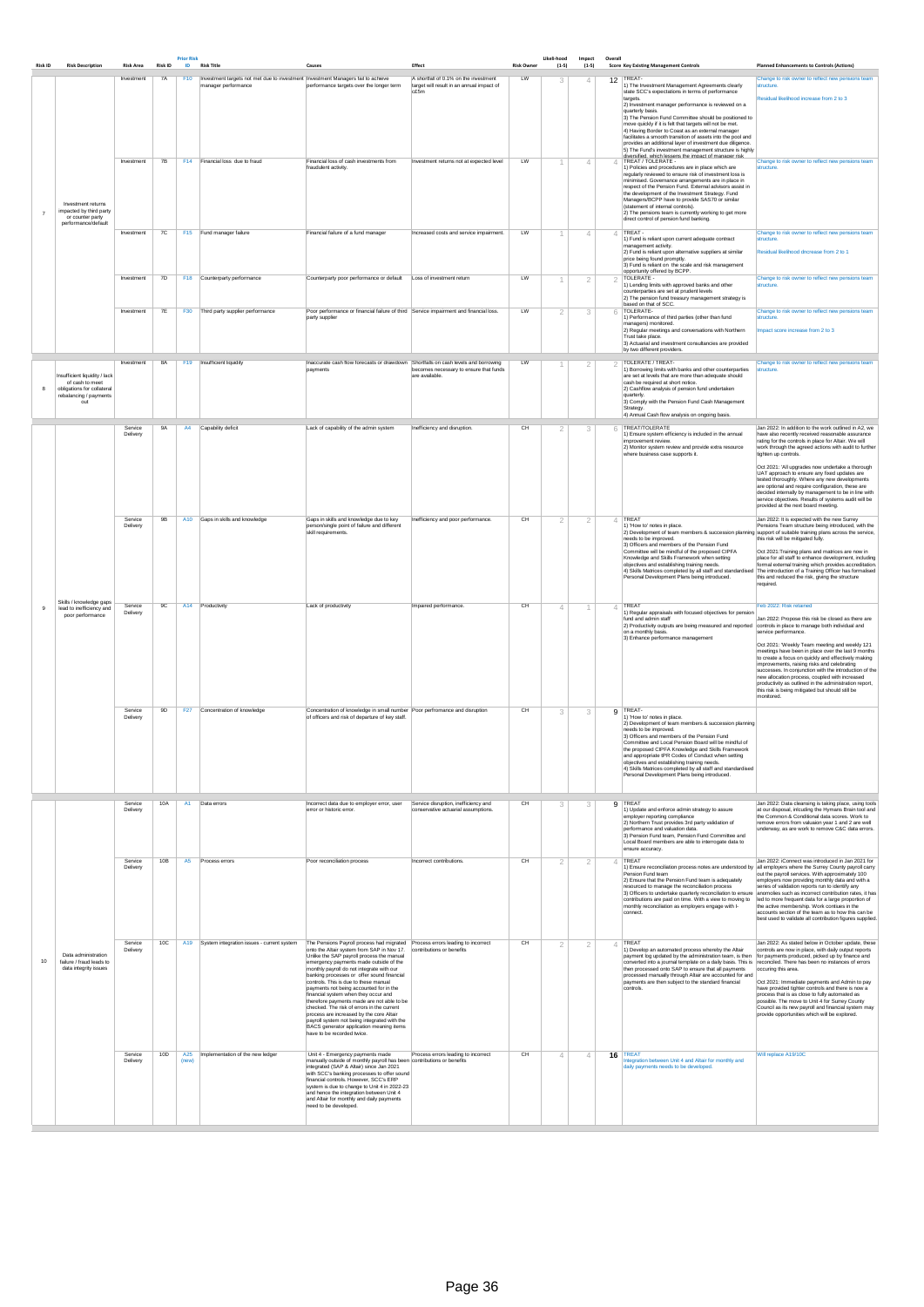| <b>Risk ID</b> | <b>Risk Description</b>                                                                                         | <b>Risk Area</b>    | <b>Risk ID</b> | <b>Prior Risk</b><br>ID | <b>Risk Title</b>                                                                        | Causes                                                                                                                                                                                                                                                                                                                                                                                                                                                                                                                                                                                                                                                                                                                                 | Effect                                                                                        | <b>Risk Owner</b> | Likeli-hood<br>$(1-5)$ | Impact<br>$(1-5)$ | Overall        | <b>Score Key Existing Management Controls</b>                                                                                                                                                                                                                                                                                                                                                                                                                                                                                                                                                                                                                                                                                                                                                                                                                                                                                                                                                                                                                                 | <b>Planned Enhancements to Controls (Actions)</b>                                                                                                                                                                                                                                                                                                                                                                                                                                                                                                                          |
|----------------|-----------------------------------------------------------------------------------------------------------------|---------------------|----------------|-------------------------|------------------------------------------------------------------------------------------|----------------------------------------------------------------------------------------------------------------------------------------------------------------------------------------------------------------------------------------------------------------------------------------------------------------------------------------------------------------------------------------------------------------------------------------------------------------------------------------------------------------------------------------------------------------------------------------------------------------------------------------------------------------------------------------------------------------------------------------|-----------------------------------------------------------------------------------------------|-------------------|------------------------|-------------------|----------------|-------------------------------------------------------------------------------------------------------------------------------------------------------------------------------------------------------------------------------------------------------------------------------------------------------------------------------------------------------------------------------------------------------------------------------------------------------------------------------------------------------------------------------------------------------------------------------------------------------------------------------------------------------------------------------------------------------------------------------------------------------------------------------------------------------------------------------------------------------------------------------------------------------------------------------------------------------------------------------------------------------------------------------------------------------------------------------|----------------------------------------------------------------------------------------------------------------------------------------------------------------------------------------------------------------------------------------------------------------------------------------------------------------------------------------------------------------------------------------------------------------------------------------------------------------------------------------------------------------------------------------------------------------------------|
|                |                                                                                                                 | Investment          | 7A             |                         | F10   Investment targets not met due to investment   Investment Managers fail to achieve |                                                                                                                                                                                                                                                                                                                                                                                                                                                                                                                                                                                                                                                                                                                                        | A shortfall of 0.1% on the investment                                                         | LW                | 3                      | △                 |                | 12 TREAT-                                                                                                                                                                                                                                                                                                                                                                                                                                                                                                                                                                                                                                                                                                                                                                                                                                                                                                                                                                                                                                                                     | Change to risk owner to reflect new pensions team                                                                                                                                                                                                                                                                                                                                                                                                                                                                                                                          |
|                | Investment returns<br>impacted by third party                                                                   | Investment          | 7B             |                         | manager performance<br>F14 Financial loss due to fraud                                   | performance targets over the longer term<br>Financial loss of cash investments from<br>fraudulent activity.                                                                                                                                                                                                                                                                                                                                                                                                                                                                                                                                                                                                                            | target will result in an annual impact of<br>c£5m<br>Investment returns not at expected level | LW                | -1                     | $\overline{4}$    | $\overline{4}$ | 1) The Investment Management Agreements clearly<br>state SCC's expectations in terms of performance<br>targets.<br>2) Investment manager performance is reviewed on a<br>quarterly basis.<br>3) The Pension Fund Committee should be positioned to<br>move quickly if it is felt that targets will not be met.<br>4) Having Border to Coast as an external manager<br>facilitates a smooth transition of assets into the pool and<br>provides an additional layer of investment due diligence.<br>5) The Fund's investment management structure is highly<br>tivareifiad which laeeane tha imnact of mananar riek<br>TREAT / TOLERATE -<br>1) Policies and procedures are in place which are<br>regularly reviewed to ensure risk of investment loss is<br>minimised. Governance arrangements are in place in<br>respect of the Pension Fund. External advisors assist in<br>the development of the Investment Strategy. Fund<br>Managers/BCPP have to provide SAS70 or similar<br>(statement of internal controls).<br>2) The pensions team is currently working to get more | structure.<br>Residual likelihood increase from 2 to 3<br>Change to risk owner to reflect new pensions team<br>structure.                                                                                                                                                                                                                                                                                                                                                                                                                                                  |
|                | or counter party<br>performance/default                                                                         | Investment          | 7C             |                         | F15 Fund manager failure                                                                 | Financial failure of a fund manager                                                                                                                                                                                                                                                                                                                                                                                                                                                                                                                                                                                                                                                                                                    | Increased costs and service impairment.                                                       | LW                | -1                     | $\overline{4}$    |                | direct control of pension fund banking.<br>$4$ TREAT -<br>1) Fund is reliant upon current adequate contract<br>management activity.<br>2) Fund is reliant upon alternative suppliers at similar<br>price being found promptly.<br>3) Fund is reliant on the scale and risk management<br>opportunity offered by BCPP.                                                                                                                                                                                                                                                                                                                                                                                                                                                                                                                                                                                                                                                                                                                                                         | Change to risk owner to reflect new pensions team<br>structure.<br>Residual likelihood dncrease from 2 to 1                                                                                                                                                                                                                                                                                                                                                                                                                                                                |
|                |                                                                                                                 | Investment          | 7D             |                         | F18 Counterparty performance                                                             | Counterparty poor performance or default                                                                                                                                                                                                                                                                                                                                                                                                                                                                                                                                                                                                                                                                                               | Loss of investment return                                                                     | LW                |                        | $\overline{2}$    |                | 2  TOLERATE -<br>1) Lending limits with approved banks and other<br>counterparties are set at prudent levels<br>2) The pension fund treasury management strategy is<br>based on that of SCC.                                                                                                                                                                                                                                                                                                                                                                                                                                                                                                                                                                                                                                                                                                                                                                                                                                                                                  | Change to risk owner to reflect new pensions team<br>structure.                                                                                                                                                                                                                                                                                                                                                                                                                                                                                                            |
|                |                                                                                                                 | Investment          | 7E             | <b>F30</b>              | Third party supplier performance                                                         | Poor performance or financial failure of third Service impairment and financial loss.<br>party supplier                                                                                                                                                                                                                                                                                                                                                                                                                                                                                                                                                                                                                                |                                                                                               | LW                | 2                      | 3                 |                | 6 TOLERATE-<br>1) Performance of third parties (other than fund<br>managers) monitored.<br>2) Regular meetings and conversations with Northern<br>Trust take place.<br>3) Actuarial and investment consultancies are provided<br>by two different providers.                                                                                                                                                                                                                                                                                                                                                                                                                                                                                                                                                                                                                                                                                                                                                                                                                  | Change to risk owner to reflect new pensions team<br>structure.<br>Impact score increase from 2 to 3                                                                                                                                                                                                                                                                                                                                                                                                                                                                       |
| 8              | Insufficient liquidity / lack<br>of cash to meet<br>obligations for collateral<br>rebalancing / payments<br>out | Investment          | 8A             |                         | F19 Insufficient liquidity                                                               | Inaccurate cash flow forecasts or drawdown Shortfalls on cash levels and borrowing<br>payments                                                                                                                                                                                                                                                                                                                                                                                                                                                                                                                                                                                                                                         | becomes necessary to ensure that funds<br>are available.                                      | LW                |                        | 2                 |                | <b>TOLERATE / TREAT-</b><br>1) Borrowing limits with banks and other counterparties<br>are set at levels that are more than adequate should<br>cash be required at short notice.<br>2) Cashflow analysis of pension fund undertaken<br>quarterly.<br>3) Comply with the Pension Fund Cash Management<br>Strategy.<br>4) Annual Cash flow analysis on ongoing basis.                                                                                                                                                                                                                                                                                                                                                                                                                                                                                                                                                                                                                                                                                                           | Change to risk owner to reflect new pensions team<br>structure.                                                                                                                                                                                                                                                                                                                                                                                                                                                                                                            |
|                |                                                                                                                 | Service<br>Delivery | 9A             | A4                      | Capability deficit                                                                       | Lack of capability of the admin system                                                                                                                                                                                                                                                                                                                                                                                                                                                                                                                                                                                                                                                                                                 | Inefficiency and disruption.                                                                  | CН                | 2                      | 3                 |                | 6 TREAT/TOLERATE<br>1) Ensure system efficiency is included in the annual<br>improvement review.<br>2) Monitor system review and provide extra resource<br>where business case supports it.                                                                                                                                                                                                                                                                                                                                                                                                                                                                                                                                                                                                                                                                                                                                                                                                                                                                                   | Jan 2022: In addition to the work outlined in A2, we<br>have also recently received reasonable assurance<br>rating for the controls in place for Altair. We will<br>work through the agreed actions with audit to further<br>tighten up controls.<br>Oct 2021: 'All upgrades now undertake a thorough<br>UAT approach to ensure any fixed updates are<br>tested thoroughly. Where any new developments<br>are optional and require configuration, these are<br>decided internally by management to be in line with<br>service objectives. Results of systems audit will be |
|                |                                                                                                                 | Service<br>Delivery | 9B             |                         | A10 Gaps in skills and knowledge                                                         | Gaps in skills and knowledge due to key<br>person/single point of failure and different<br>skill requirements.                                                                                                                                                                                                                                                                                                                                                                                                                                                                                                                                                                                                                         | Inefficiency and poor performance.                                                            | CH                | 2                      | 2                 |                | TREAT<br>1) 'How to' notes in place.<br>2) Development of team members & succession planning support of suitable training plans across the service,<br>needs to be improved.<br>3) Officers and members of the Pension Fund<br>Committee will be mindful of the proposed CIPFA<br>Knowledge and Skills Framework when setting<br>objectives and establishing training needs.<br>4) Skills Matrices completed by all staff and standardised The introduction of a Training Officer has formalised<br>Personal Development Plans being introduced.                                                                                                                                                                                                                                                                                                                                                                                                                                                                                                                              | provided at the next board meeting.<br>Jan 2022: It is expected with the new Surrey<br>Pensions Team structure being introduced, with the<br>this risk will be mitigated fully.<br>Oct 2021: Training plans and matrices are now in<br>place for all staff to enhance development, including<br>formal external training which provides accreditation.<br>this and reduced the risk, giving the structure<br>required.                                                                                                                                                     |
|                | Skills / knowledge gaps<br>lead to inefficiency and<br>poor performance                                         | Service<br>Delivery | 9C             |                         | A14 Productivity                                                                         | Lack of productivity                                                                                                                                                                                                                                                                                                                                                                                                                                                                                                                                                                                                                                                                                                                   | Impaired performance.                                                                         | CH                | $\overline{4}$         | $\overline{1}$    | $\overline{4}$ | TREAT<br>1) Regular appraisals with focused objectives for pension<br>fund and admin staff<br>2) Productivity outputs are being measured and reported controls in place to manage both individual and<br>on a monthly basis.<br>3) Enhance performance management                                                                                                                                                                                                                                                                                                                                                                                                                                                                                                                                                                                                                                                                                                                                                                                                             | Feb 2022: Risk retained<br>Jan 2022: Propose this risk be closed as there are<br>service performance.<br>Oct 2021: 'Weekly Team meeting and weekly 121<br>meetings have been in place over the last 9 months<br>to create a focus on quickly and effectively making<br>improvements, raising risks and celebrating<br>successes. In conjunction with the introduction of the<br>new allocation process, coupled with increased<br>productivity as outlined in the administration report,<br>this risk is being mitigated but should still be<br>monitored.                 |
|                |                                                                                                                 | Service<br>Delivery | 9D             |                         | F27 Concentration of knowledge                                                           | Concentration of knowledge in small number Poor perfromance and disruption<br>of officers and risk of departure of key staff.                                                                                                                                                                                                                                                                                                                                                                                                                                                                                                                                                                                                          |                                                                                               | CH                | 3                      | 3                 |                | 9 TREAT-<br>1) 'How to' notes in place.<br>2) Development of team members & succession planning<br>needs to be improved.<br>3) Officers and members of the Pension Fund<br>Committee and Local Pension Board will be mindful of<br>the proposed CIPFA Knowledge and Skills Framework<br>and appropriate tPR Codes of Conduct when setting<br>objectives and establishing training needs.<br>4) Skills Matrices completed by all staff and standardised<br>Personal Development Plans being introduced.                                                                                                                                                                                                                                                                                                                                                                                                                                                                                                                                                                        |                                                                                                                                                                                                                                                                                                                                                                                                                                                                                                                                                                            |
|                |                                                                                                                 | Service<br>Delivery | 10A            | A1                      | Data errors                                                                              | Incorrect data due to employer error, user<br>error or historic error.                                                                                                                                                                                                                                                                                                                                                                                                                                                                                                                                                                                                                                                                 | Service disruption, inefficiency and<br>conservative actuarial assumptions.                   | CH                | 3                      | 3                 |                | 9 TREAT<br>1) Update and enforce admin strategy to assure<br>employer reporting compliance<br>2) Northern Trust provides 3rd party validation of<br>performance and valuation data.<br>3) Pension Fund team, Pension Fund Committee and<br>Local Board members are able to interrogate data to<br>ensure accuracy.                                                                                                                                                                                                                                                                                                                                                                                                                                                                                                                                                                                                                                                                                                                                                            | Jan 2022: Data cleansing is taking place, using tools<br>at our disposal, inlcuding the Hymans Brain tool and<br>the Common & Conditional data scores. Work to<br>remove errors from valuaion year 1 and 2 are well<br>underway, as are work to remove C&C data errors.                                                                                                                                                                                                                                                                                                    |
|                |                                                                                                                 | Service<br>Delivery | 10B            | <b>A5</b>               | Process errors                                                                           | Poor reconciliation process                                                                                                                                                                                                                                                                                                                                                                                                                                                                                                                                                                                                                                                                                                            | Incorrect contributions.                                                                      | CH                | $\mathcal{D}$          | $\mathcal{P}$     | $\Delta$       | TREAT<br>1) Ensure reconciliation process notes are understood by all employers where the Surrey County payroll carry<br>Pension Fund team<br>2) Ensure that the Pension Fund team is adequately<br>resourced to manage the reconciliation process<br>3) Officers to undertake quarterly reconciliation to ensure anomolies such as incorrect contribution rates, it has<br>contributions are paid on time. With a view to moving to<br>monthly reconciliation as employers engage with I-<br>connect.                                                                                                                                                                                                                                                                                                                                                                                                                                                                                                                                                                        | Jan 2022: iConnect was introduced in Jan 2021 for<br>out the payroll services. With approximately 100<br>employers now providing monthly data and with a<br>series of validation reports run to identify any<br>led to more frequent data for a large proportion of<br>the active membership. Work contiues in the<br>accounts section of the team as to how this can be<br>best used to validate all contribution figures supplied.                                                                                                                                       |
| 10             | Data administration<br>failure / fraud leads to<br>data integrity issues                                        | Service<br>Delivery | 10C            |                         | A19 System integration issues - current system                                           | The Pensions Payroll process had migrated  Process errors leading to incorrect<br>onto the Altair system from SAP in Nov 17. contributions or benefits<br>Unlike the SAP payroll process the manual<br>emergency payments made outside of the<br>monthly payroll do not integrate with our<br>banking processes or offer sound financial<br>controls. This is due to these manual<br>payments not being accounted for in the<br>financial system when they occur and<br>therefore payments made are not able to be<br>checked. The risk of errors in the current<br>process are increased by the core Altair<br>payroll system not being integrated with the<br>BACS generator application meaning items<br>have to be recorded twice. |                                                                                               | CH                | $\mathcal{P}$          | $\overline{2}$    |                | $4$ TREAT<br>1) Develop an automated process whereby the Altair<br>payment log updated by the administration team, is then for payments produced, picked up by finance and<br>converted into a journal template on a daily basis. This is reconciled. There has been no instances of errors<br>then processed onto SAP to ensure that all payments<br>processed manually through Altair are accounted for and<br>payments are then subject to the standard financial<br>controls.                                                                                                                                                                                                                                                                                                                                                                                                                                                                                                                                                                                             | Jan 2022: As stated below in October update, these<br>controls are now in place, with daily output reports<br>occuring this area.<br>Oct 2021: Immediate payments and Admin to pay<br>have provided tighter controls and there is now a<br>process that is as close to fully automated as<br>possible. The move to Unit 4 for Surrey County<br>Council as its new payroll and financial system may<br>provide opportunities which will be explored.                                                                                                                        |
|                |                                                                                                                 | Service<br>Delivery | 10D            | A25<br>(new)            | Implementation of the new ledger                                                         | Unit 4 - Emergency payments made<br>manually outside of monthly payroll has been contributions or benefits<br>integrated (SAP & Altair) since Jan 2021<br>with SCC's banking processes to offer sound<br>financial controls. However, SCC's ERP<br>system is due to change to Unit 4 in 2022-23<br>and hence the integration between Unit 4<br>and Altair for monthly and daily payments<br>need to be developed.                                                                                                                                                                                                                                                                                                                      | Process errors leading to incorrect                                                           | CH                | $\Delta$               | Δ                 |                | 16 TREAT<br>Integration between Unit 4 and Altair for monthly and<br>daily payments needs to be developed.                                                                                                                                                                                                                                                                                                                                                                                                                                                                                                                                                                                                                                                                                                                                                                                                                                                                                                                                                                    | Will replace A19/10C                                                                                                                                                                                                                                                                                                                                                                                                                                                                                                                                                       |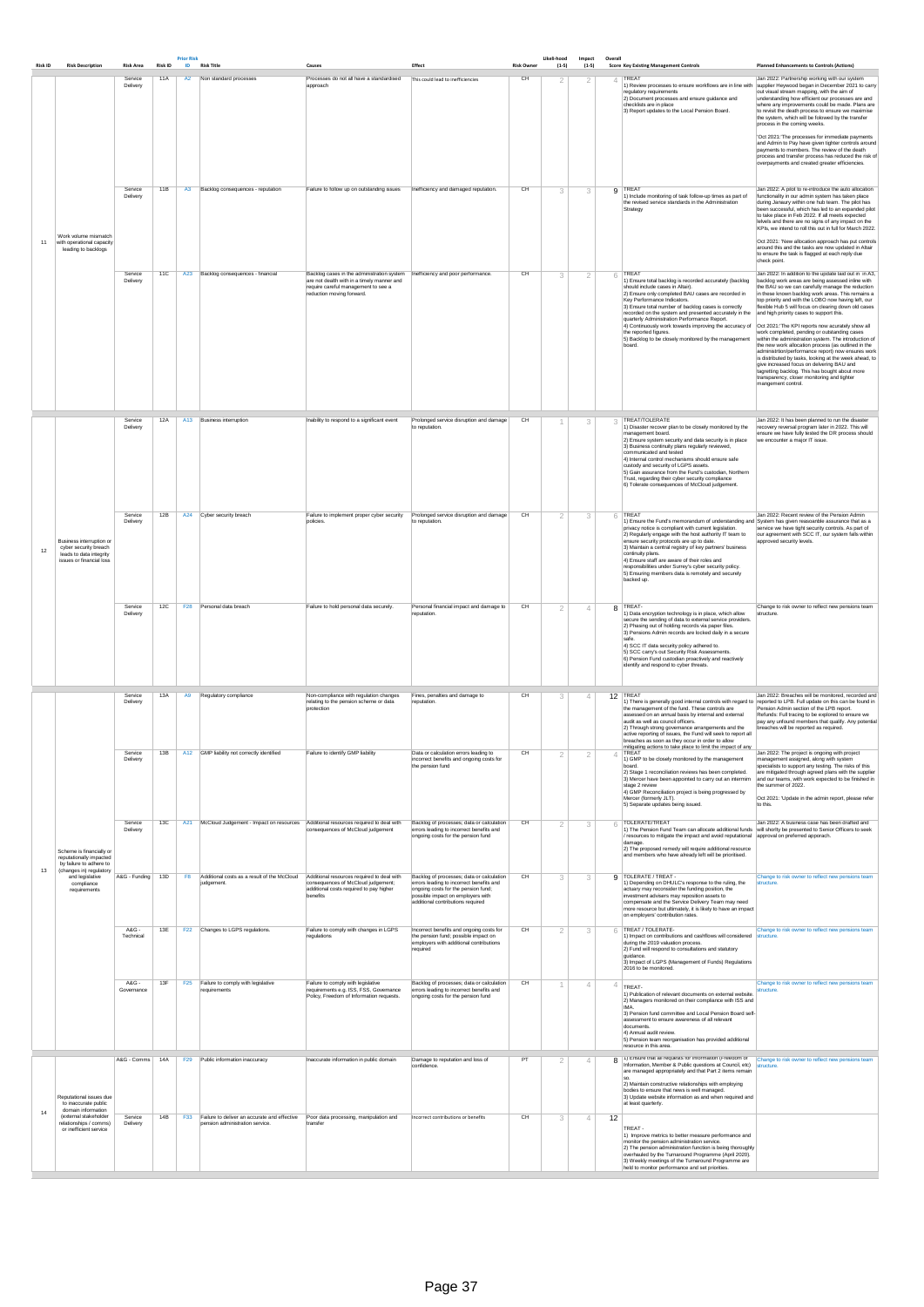| <b>Risk ID</b> | <b>Risk Description</b>                                                                                   | <b>Risk Area</b>                     | <b>Risk ID</b> | <b>Prior Risk</b><br>ID | <b>Risk Title</b>                                                                      | Causes                                                                                                                                                                                            | Effect                                                                                                                                                                   | <b>Risk Owner</b> | Likeli-hood<br>$(1-5)$ | Impact<br>$(1-5)$                | Overall | <b>Score Key Existing Management Controls</b>                                                                                                                                                                                                                                                                                                                                                                                                                                                                                                             | <b>Planned Enhancements to Controls (Actions)</b>                                                                                                                                                                                                                                                                                                                                                                                                                                                                                                                                                                                                                                                                                                                                                                                           |
|----------------|-----------------------------------------------------------------------------------------------------------|--------------------------------------|----------------|-------------------------|----------------------------------------------------------------------------------------|---------------------------------------------------------------------------------------------------------------------------------------------------------------------------------------------------|--------------------------------------------------------------------------------------------------------------------------------------------------------------------------|-------------------|------------------------|----------------------------------|---------|-----------------------------------------------------------------------------------------------------------------------------------------------------------------------------------------------------------------------------------------------------------------------------------------------------------------------------------------------------------------------------------------------------------------------------------------------------------------------------------------------------------------------------------------------------------|---------------------------------------------------------------------------------------------------------------------------------------------------------------------------------------------------------------------------------------------------------------------------------------------------------------------------------------------------------------------------------------------------------------------------------------------------------------------------------------------------------------------------------------------------------------------------------------------------------------------------------------------------------------------------------------------------------------------------------------------------------------------------------------------------------------------------------------------|
|                |                                                                                                           | Service<br>Delivery                  | 11A            | A2                      | Non standard processes                                                                 | Processes do not all have a standardised<br>approach                                                                                                                                              | This could lead to inefficiencies                                                                                                                                        | CH                | 2                      | 2                                |         | TREAT<br>1) Review processes to ensure workflows are in line with supplier Heywood began in December 2021 to carry<br>regulatory requirements<br>2) Document processes and ensure guidance and<br>checklists are in place<br>3) Report updates to the Local Pension Board.                                                                                                                                                                                                                                                                                | Jan 2022: Partnership working with our system<br>out visual stream mapping, with the aim of<br>understanding how efficient our processes are and<br>where any improvements could be made. Plans are<br>to revisit the death process to ensure we maximise<br>the system, which will be folowed by the transfer<br>process in the coming weeks.<br>'Oct 2021:'The processes for immediate payments<br>and Admin to Pay have given tighter controls around<br>payments to members. The review of the death<br>process and transfer process has reduced the risk of<br>overpayments and created greater efficiencies.                                                                                                                                                                                                                          |
| 11             | Work volume mismatch<br>with operational capacity<br>leading to backlogs                                  | Service<br>Delivery                  | 11B            | A3                      | Backlog consequences - reputation                                                      | Failure to follow up on outstanding issues                                                                                                                                                        | Inefficiency and damaged reputation.                                                                                                                                     | CH                | 3                      | 3                                |         | 9 TREAT<br>1) Include monitoring of task follow-up times as part of<br>the revised service standards in the Administration<br>Strategy<br>check point.                                                                                                                                                                                                                                                                                                                                                                                                    | Jan 2022: A pilot to re-introduce the auto allocation<br>functionality in our admin system has taken place<br>during Janaury within one hub team. The pilot has<br>been successful, which has led to an expanded pilot<br>to take place in Feb 2022. If all meets expected<br>lelvels and there are no signs of any impact on the<br>KPIs, we intend to roll this out in full for March 2022.<br>Oct 2021: 'New allocation approach has put controls<br>around this and the tasks are now updated in Altair<br>to ensure the task is flagged at each reply due                                                                                                                                                                                                                                                                              |
|                |                                                                                                           | Service<br>Delivery                  | 11C            |                         | A23 Backlog consequences - financial                                                   | Backlog cases in the administration system   Inefficiency and poor performance.<br>are not dealth with in a timely manner and<br>require careful management to see a<br>reduction moving forward. |                                                                                                                                                                          | CH                | 3                      | $\overline{2}$                   | 6       | TREAT<br>1) Ensure total backlog is recorded accurately (backlog<br>should include cases in Altair).<br>2) Ensure only completed BAU cases are recorded in<br>Key Performance Indicators.<br>3) Ensure total number of backlog cases is correctly<br>recorded on the system and presented accurately in the and high priority cases to support this.<br>quarterly Administration Performance Report.<br>4) Continuously work towards improving the accuracy of<br>the reported figures.<br>5) Backlog to be closely monitored by the management<br>board. | Jan 2022: In addition to the update laid out in in A3,<br>backlog work areas are being assessed inline with<br>the BAU so we can carefully manage the reduction<br>in these known backlog work areas. This remains a<br>top priority and with the LOBO now having left, our<br>flexible Hub 5 will focus on clearing down old cases<br>Oct 2021: The KPI reports now acurately show all<br>work completed, pending or outstanding cases<br>within the administration system. The introduction of<br>the new work allocation process (as outlined in the<br>administrtion/performance report) now ensures work<br>is distributed by tasks, looking at the week ahead, to<br>give increased focus on delvering BAU and<br>tagretting backlog. This has bought about more<br>transparency, closer monitoring and tighter<br>mangement control. |
|                |                                                                                                           | Service<br>Delivery                  | 12A            | A13                     | <b>Business interruption</b>                                                           | Inability to respond to a significant event                                                                                                                                                       | Prolonged service disruption and damage<br>to reputation                                                                                                                 | CH                |                        | 3                                |         | TREAT/TOLERATE<br>1) Disaster recover plan to be closely monitored by the<br>management board.<br>2) Ensure system security and data security is in place<br>3) Business continuity plans regularly reviewed,<br>communicated and tested<br>4) Internal control mechanisms should ensure safe<br>custody and security of LGPS assets.<br>5) Gain assurance from the Fund's custodian, Northern<br>Trust, regarding their cyber security compliance<br>6) Tolerate consequences of McCloud judgement.                                                      | Jan 2022: It has been planned to run the disaster<br>recovery reversal program later in 2022. This will<br>ensure we have fully tested the DR process should<br>we encounter a major IT issue.                                                                                                                                                                                                                                                                                                                                                                                                                                                                                                                                                                                                                                              |
| 12             | Business interruption or<br>cyber security breach<br>leads to data integrity<br>issues or financial loss  | Service<br>Delivery                  | 12B            |                         | A24 Cyber security breach                                                              | Failure to implement proper cyber security<br>policies.                                                                                                                                           | Prolonged service disruption and damage<br>to reputation.                                                                                                                | CH                | 2                      | 3                                |         | $6$ TREAT<br>1) Ensure the Fund's memorandum of understanding and System has given reasoanble assurance that as a<br>privacy notice is compliant with current legislation.<br>2) Regularly engage with the host authority IT team to<br>ensure security protocols are up to date.<br>3) Maintain a central registry of key partners' business<br>continuity plans.<br>4) Ensure staff are aware of their roles and<br>responsibilities under Surrey's cyber security policy.<br>5) Ensuring members data is remotely and securely<br>backed up.           | Jan 2022: Recent review of the Pension Admin<br>service we have tight security controls. As part of<br>our agreement with SCC IT, our system falls within<br>approved security levels.                                                                                                                                                                                                                                                                                                                                                                                                                                                                                                                                                                                                                                                      |
|                |                                                                                                           | Service<br>Delivery                  | 12C            |                         | F28 Personal data breach                                                               | Failure to hold personal data securely.                                                                                                                                                           | Personal financial impact and damage to<br>reputation.                                                                                                                   | CH                | 2                      | $\overline{4}$                   |         | 8 TREAT-<br>1) Data encryption technology is in place, which allow<br>structure.<br>secure the sending of data to external service providers.<br>2) Phasing out of holding records via paper files.<br>3) Pensions Admin records are locked daily in a secure<br>safe.<br>4) SCC IT data security policy adhered to.<br>5) SCC carry's out Security Risk Assessments.<br>6) Pension Fund custodian proactively and reactively<br>identify and respond to cyber threats.                                                                                   | Change to risk owner to reflect new pensions team                                                                                                                                                                                                                                                                                                                                                                                                                                                                                                                                                                                                                                                                                                                                                                                           |
|                |                                                                                                           | Service<br>Delivery<br>Service       | 13A<br>13B     | A9                      | Regulatory compliance<br>A12 GMP liability not correctly identified                    | Non-compliance with regulation changes<br>relating to the pension scheme or data<br>protection<br>Failure to identify GMP liability                                                               | Fines, penalties and damage to<br>reputation.<br>Data or calculation errors leading to                                                                                   | CH<br>CH          | 3<br>$\overline{2}$    | $\overline{4}$<br>$\overline{2}$ |         | 12 TREAT<br>1) There is generally good internal controls with regard to reported to LPB. Full update on this can be found in<br>the management of the fund. These controls are<br>assessed on an annual basis by internal and external<br>audit as well as council officers.<br>2) Through strong governance arrangements and the<br>active reporting of issues, the Fund will seek to report all<br>breaches as soon as they occur in order to allow<br>mitiaating actions to take place to limit the impact of any<br>$\perp$ TREAT                     | Jan 2022: Breaches will be monitored, recorded and<br>Pension Admin section of the LPB report.<br>Refunds: Full tracing to be explored to ensure we<br>pay any unfound members that qualify. Any potential<br>breaches will be reported as required.<br>Jan 2022: The project is ongoing with project                                                                                                                                                                                                                                                                                                                                                                                                                                                                                                                                       |
|                |                                                                                                           | Delivery                             |                |                         |                                                                                        |                                                                                                                                                                                                   | incorrect benefits and ongoing costs for<br>the pension fund                                                                                                             |                   |                        |                                  |         | 1) GMP to be closely monitored by the management<br>board.<br>2) Stage 1 reconciliation reviews has been completed.<br>3) Mercer have been appointed to carry out an intermim<br>stage 2 review<br>4) GMP Reconciliation project is being progressed by<br>Mercer (formerly JLT).<br>5) Separate updates being issued.<br>to this.                                                                                                                                                                                                                        | management assigned, along with system<br>specialists to support any testing. The risks of this<br>are mitigated through agreed plans with the supplier<br>and our teams, with work expected to be finished in<br>the summer of 2022.<br>Oct 2021: 'Update in the admin report, please refer                                                                                                                                                                                                                                                                                                                                                                                                                                                                                                                                                |
| 13             | Scheme is financially or<br>reputationally impacted<br>by failure to adhere to<br>(changes in) regulatory | Service<br>Delivery<br>A&G - Funding | 13C<br>13D     | A21<br>F <sub>8</sub>   | McCloud Judgement - Impact on resources<br>Additional costs as a result of the McCloud | Additional resources required to deal with<br>consequences of McCloud judgement<br>Additional resources required to deal with                                                                     | Backlog of processes; data or calculation<br>errors leading to incorrect benefits and<br>ongoing costs for the pension fund<br>Backlog of processes; data or calculation | CH<br>CH          | 2                      | 3                                | 6       | TOLERATE/TREAT<br>1) The Pension Fund Team can allocate additional funds will shorlty be presented to Senior Officers to seek<br>/ resources to mitigate the impact and avoid reputational approval on preferred apporach.<br>damage<br>2) The proposed remedy will require additional resource<br>and members who have already left will be prioritised.<br>9 TOLERATE / TREAT -                                                                                                                                                                         | Jan 2022: A business case has been drafted and<br>Change to risk owner to reflect new pensions team                                                                                                                                                                                                                                                                                                                                                                                                                                                                                                                                                                                                                                                                                                                                         |
|                | and legislative<br>compliance<br>requirements                                                             |                                      |                |                         | judgement.                                                                             | consequences of McCloud judgement;<br>additional costs required to pay higher<br>benefits                                                                                                         | errors leading to incorrect benefits and<br>ongoing costs for the pension fund;<br>possible impact on employers with<br>additional contributions required                |                   | 3                      | 3                                |         | 1) Depending on DHULC's response to the ruling, the<br>structure.<br>actuary may reconsider the funding position, the<br>investment advisers may reposition assets to<br>compensate and the Service Delivery Team may need<br>more resource but ultimately, it is likely to have an impact<br>on employers' contribution rates.                                                                                                                                                                                                                           |                                                                                                                                                                                                                                                                                                                                                                                                                                                                                                                                                                                                                                                                                                                                                                                                                                             |
|                |                                                                                                           | A&G -<br>Technical                   | 13E            | <b>F22</b>              | Changes to LGPS regulations.                                                           | Failure to comply with changes in LGPS<br>regulations                                                                                                                                             | Incorrect benefits and ongoing costs for<br>the pension fund; possible impact on<br>employers with additional contributions<br>required                                  | CH                | $\overline{2}$         | 3                                | 6       | TREAT / TOLERATE-<br>1) Impact on contributions and cashflows will considered structure.<br>during the 2019 valuation process.<br>2) Fund will respond to consultations and statutory<br>guidance.<br>3) Impact of LGPS (Management of Funds) Regulations<br>2016 to be monitored.                                                                                                                                                                                                                                                                        | Change to risk owner to reflect new pensions team                                                                                                                                                                                                                                                                                                                                                                                                                                                                                                                                                                                                                                                                                                                                                                                           |
|                |                                                                                                           | A&G -<br>Governance                  | 13F            |                         | F25 Failure to comply with legislative<br>requirements                                 | Failure to comply with legislative<br>requirements e.g. ISS, FSS, Governance<br>Policy, Freedom of Information requests.                                                                          | Backlog of processes; data or calculation<br>errors leading to incorrect benefits and<br>ongoing costs for the pension fund                                              | CH                |                        | $\Delta$                         | 4       | TREAT-<br>structure.<br>1) Publication of relevant documents on external website<br>2) Managers monitored on their compliance with ISS and<br>IMA.<br>3) Pension fund committee and Local Pension Board self-<br>assessment to ensure awareness of all relevant<br>documents.<br>4) Annual audit review.<br>5) Pension team reorganisation has provided additional<br>resource in this area.                                                                                                                                                              | Change to risk owner to reflect new pensions team                                                                                                                                                                                                                                                                                                                                                                                                                                                                                                                                                                                                                                                                                                                                                                                           |
|                | Reputational issues due<br>to inaccurate public                                                           | A&G - Comms 14A                      |                |                         | F29 Public information inaccuracy                                                      | Inaccurate information in public domain                                                                                                                                                           | Damage to reputation and loss of<br>confidence.                                                                                                                          | PT                | 2                      | $\overline{4}$                   |         | 8 1) Ensure that all requests for information (Freedom of Change to risk owner to reflect new pensions team<br>Information, Member & Public questions at Council, etc) structure.<br>are managed appropriately and that Part 2 items remain<br>2) Maintain constructive relationships with employing<br>bodies to ensure that news is well managed.<br>3) Update website information as and when required and<br>at least quarterly.                                                                                                                      |                                                                                                                                                                                                                                                                                                                                                                                                                                                                                                                                                                                                                                                                                                                                                                                                                                             |
| 14             | domain information<br>(external stakeholder<br>relationships / comms)<br>or inefficient service           | Service<br>Delivery                  | 14B            |                         | F33 Failure to deliver an accurate and effective<br>pension administration service.    | Poor data processing, manipulation and<br>transfer                                                                                                                                                | Incorrect contributions or benefits                                                                                                                                      | CH                | 3                      | 4 <sup>1</sup>                   | 12      | TREAT-<br>1) Improve metrics to better measure performance and<br>monitor the pension administration service.<br>2) The pension administration function is being thoroughly<br>overhauled by the Turnaround Programme (April 2020).<br>3) Weekly meetings of the Turnaround Programme are<br>held to monitor performance and set priorities.                                                                                                                                                                                                              |                                                                                                                                                                                                                                                                                                                                                                                                                                                                                                                                                                                                                                                                                                                                                                                                                                             |